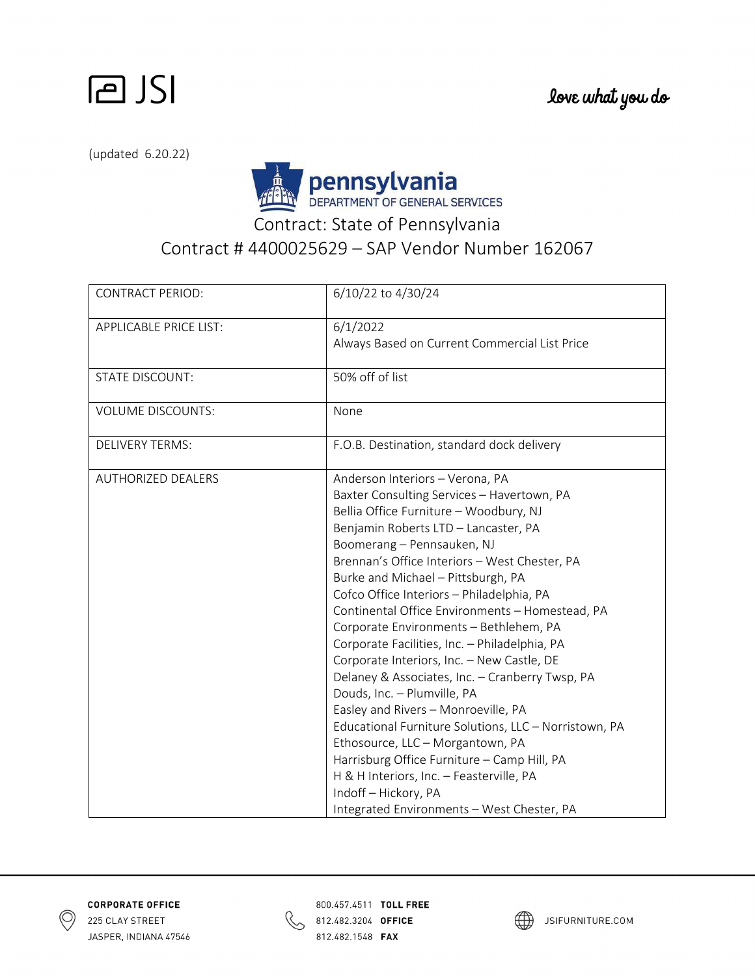

(updated 6.20.22)



Contract: State of Pennsylvania

## Contract # 4400025629 – SAP Vendor Number 162067

| <b>CONTRACT PERIOD:</b>       | 6/10/22 to 4/30/24                                                                                                                                                                                                                                                                                                                                                                                                                                                                                                                                                                                                                                                                                                                                                                                                                                                   |
|-------------------------------|----------------------------------------------------------------------------------------------------------------------------------------------------------------------------------------------------------------------------------------------------------------------------------------------------------------------------------------------------------------------------------------------------------------------------------------------------------------------------------------------------------------------------------------------------------------------------------------------------------------------------------------------------------------------------------------------------------------------------------------------------------------------------------------------------------------------------------------------------------------------|
| <b>APPLICABLE PRICE LIST:</b> | 6/1/2022<br>Always Based on Current Commercial List Price                                                                                                                                                                                                                                                                                                                                                                                                                                                                                                                                                                                                                                                                                                                                                                                                            |
| <b>STATE DISCOUNT:</b>        | 50% off of list                                                                                                                                                                                                                                                                                                                                                                                                                                                                                                                                                                                                                                                                                                                                                                                                                                                      |
| <b>VOLUME DISCOUNTS:</b>      | None                                                                                                                                                                                                                                                                                                                                                                                                                                                                                                                                                                                                                                                                                                                                                                                                                                                                 |
| <b>DELIVERY TERMS:</b>        | F.O.B. Destination, standard dock delivery                                                                                                                                                                                                                                                                                                                                                                                                                                                                                                                                                                                                                                                                                                                                                                                                                           |
| <b>AUTHORIZED DEALERS</b>     | Anderson Interiors - Verona, PA<br>Baxter Consulting Services - Havertown, PA<br>Bellia Office Furniture - Woodbury, NJ<br>Benjamin Roberts LTD - Lancaster, PA<br>Boomerang - Pennsauken, NJ<br>Brennan's Office Interiors - West Chester, PA<br>Burke and Michael - Pittsburgh, PA<br>Cofco Office Interiors - Philadelphia, PA<br>Continental Office Environments - Homestead, PA<br>Corporate Environments - Bethlehem, PA<br>Corporate Facilities, Inc. - Philadelphia, PA<br>Corporate Interiors, Inc. - New Castle, DE<br>Delaney & Associates, Inc. - Cranberry Twsp, PA<br>Douds, Inc. - Plumville, PA<br>Easley and Rivers - Monroeville, PA<br>Educational Furniture Solutions, LLC - Norristown, PA<br>Ethosource, LLC - Morgantown, PA<br>Harrisburg Office Furniture - Camp Hill, PA<br>H & H Interiors, Inc. - Feasterville, PA<br>Indoff-Hickory, PA |
|                               | Integrated Environments - West Chester, PA                                                                                                                                                                                                                                                                                                                                                                                                                                                                                                                                                                                                                                                                                                                                                                                                                           |





800.457.4511 TOLL FREE 812.482.3204 OFFICE 812.482.1548 **FAX** 

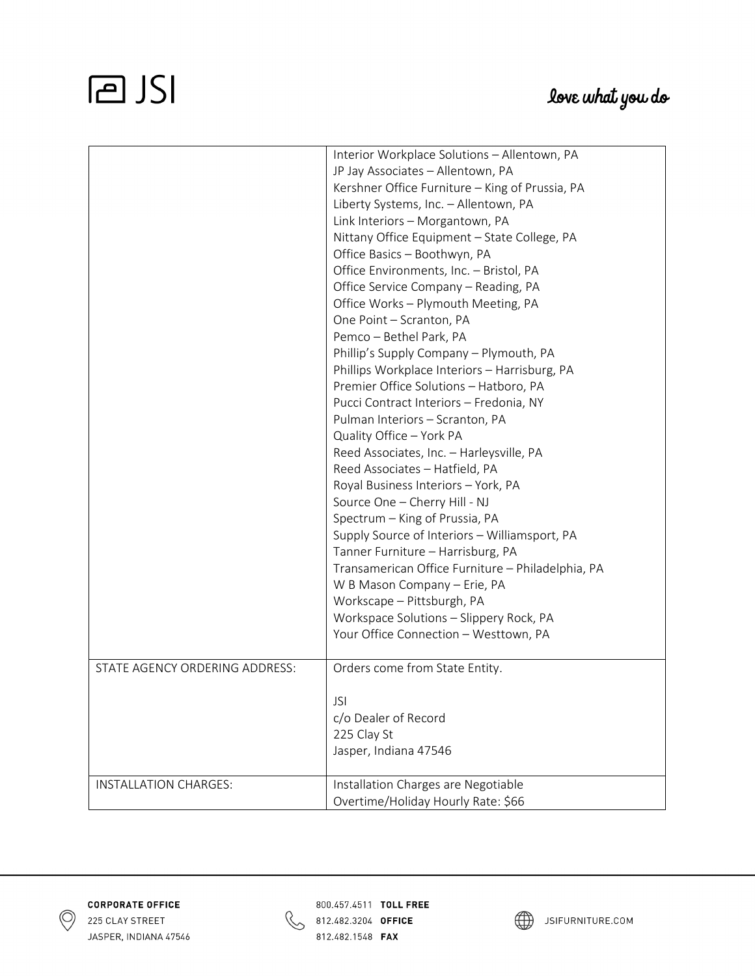## **PJSI**

|                                | Interior Workplace Solutions - Allentown, PA      |
|--------------------------------|---------------------------------------------------|
|                                | JP Jay Associates - Allentown, PA                 |
|                                | Kershner Office Furniture - King of Prussia, PA   |
|                                | Liberty Systems, Inc. - Allentown, PA             |
|                                | Link Interiors - Morgantown, PA                   |
|                                | Nittany Office Equipment - State College, PA      |
|                                | Office Basics - Boothwyn, PA                      |
|                                | Office Environments, Inc. - Bristol, PA           |
|                                | Office Service Company - Reading, PA              |
|                                | Office Works - Plymouth Meeting, PA               |
|                                | One Point - Scranton, PA                          |
|                                | Pemco - Bethel Park, PA                           |
|                                | Phillip's Supply Company - Plymouth, PA           |
|                                | Phillips Workplace Interiors - Harrisburg, PA     |
|                                | Premier Office Solutions - Hatboro, PA            |
|                                | Pucci Contract Interiors - Fredonia, NY           |
|                                | Pulman Interiors - Scranton, PA                   |
|                                | Quality Office - York PA                          |
|                                | Reed Associates, Inc. - Harleysville, PA          |
|                                | Reed Associates - Hatfield, PA                    |
|                                | Royal Business Interiors - York, PA               |
|                                | Source One - Cherry Hill - NJ                     |
|                                | Spectrum - King of Prussia, PA                    |
|                                | Supply Source of Interiors - Williamsport, PA     |
|                                | Tanner Furniture - Harrisburg, PA                 |
|                                | Transamerican Office Furniture - Philadelphia, PA |
|                                |                                                   |
|                                | W B Mason Company - Erie, PA                      |
|                                | Workscape - Pittsburgh, PA                        |
|                                | Workspace Solutions - Slippery Rock, PA           |
|                                | Your Office Connection - Westtown, PA             |
| STATE AGENCY ORDERING ADDRESS: | Orders come from State Entity.                    |
|                                |                                                   |
|                                | <b>JSI</b>                                        |
|                                | c/o Dealer of Record                              |
|                                | 225 Clay St                                       |
|                                | Jasper, Indiana 47546                             |
|                                |                                                   |
| INSTALLATION CHARGES:          | Installation Charges are Negotiable               |
|                                | Overtime/Holiday Hourly Rate: \$66                |